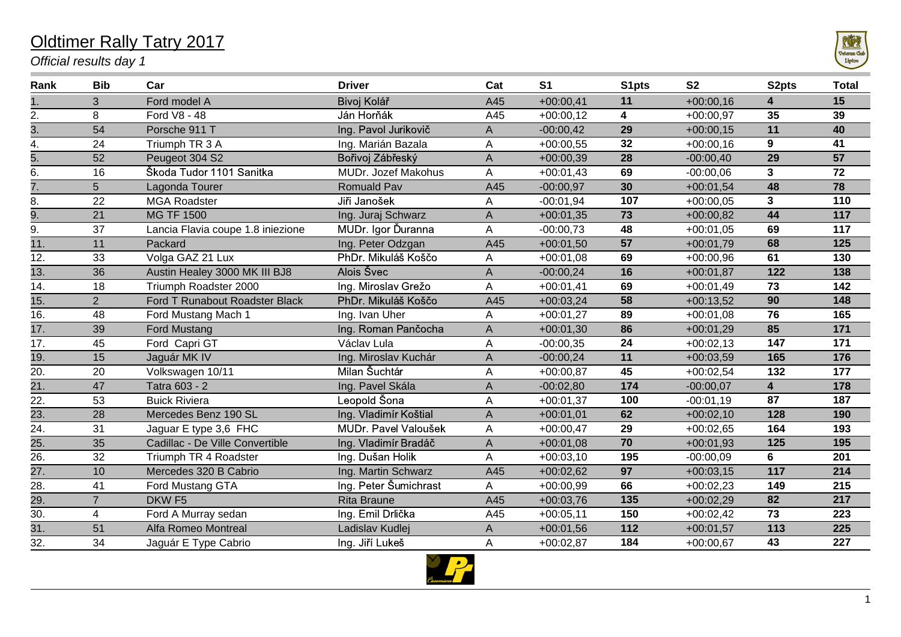## Oldtimer Rally Tatry 2017

*Official results day 1*



| Rank              | <b>Bib</b>     | Car                               | <b>Driver</b>         | Cat | S <sub>1</sub> | S1pts | S <sub>2</sub> | S <sub>2</sub> pts      | <b>Total</b> |
|-------------------|----------------|-----------------------------------|-----------------------|-----|----------------|-------|----------------|-------------------------|--------------|
| 1.                | 3              | Ford model A                      | Bivoj Kolář           | A45 | $+00:00,41$    | 11    | $+00:00,16$    | 4                       | 15           |
| 2.                | 8              | Ford V8 - 48                      | Ján Horňák            | A45 | $+00:00,12$    | 4     | $+00:00,97$    | 35                      | 39           |
| $\overline{3}$ .  | 54             | Porsche 911 T                     | Ing. Pavol Jurikovič  | А   | $-00:00,42$    | 29    | $+00:00,15$    | 11                      | 40           |
| 4.                | 24             | Triumph TR 3 A                    | Ing. Marián Bazala    | A   | $+00:00,55$    | 32    | $+00:00,16$    | $9^{\circ}$             | 41           |
| 5.                | 52             | Peugeot 304 S2                    | Bořivoj Zábřeský      | Α   | $+00:00,39$    | 28    | $-00:00,40$    | 29                      | 57           |
| 6.                | 16             | Škoda Tudor 1101 Sanitka          | MUDr. Jozef Makohus   | A   | $+00:01,43$    | 69    | $-00:00,06$    | $\mathbf{3}$            | 72           |
| 7.                | 5 <sup>5</sup> | Lagonda Tourer                    | Romuald Pav           | A45 | $-00:00,97$    | 30    | $+00:01,54$    | 48                      | 78           |
| 8.                | 22             | <b>MGA Roadster</b>               | Jiři Janošek          | A   | $-00:01,94$    | 107   | $+00:00,05$    | 3 <sup>1</sup>          | 110          |
| 9.                | 21             | <b>MG TF 1500</b>                 | Ing. Juraj Schwarz    | A   | $+00:01,35$    | 73    | $+00:00,82$    | 44                      | 117          |
| 9.                | 37             | Lancia Flavia coupe 1.8 iniezione | MUDr. Igor Ďuranna    | Α   | $-00:00,73$    | 48    | $+00:01,05$    | 69                      | 117          |
| $\overline{11}$ . | 11             | Packard                           | Ing. Peter Odzgan     | A45 | $+00:01,50$    | 57    | $+00:01,79$    | 68                      | 125          |
| 12.               | 33             | Volga GAZ 21 Lux                  | PhDr. Mikuláš Koščo   | A   | $+00:01,08$    | 69    | $+00:00,96$    | 61                      | 130          |
| $\overline{13}$ . | 36             | Austin Healey 3000 MK III BJ8     | Alois Švec            | Α   | $-00:00,24$    | 16    | $+00:01,87$    | 122                     | 138          |
| 14.               | 18             | Triumph Roadster 2000             | Ing. Miroslav Grežo   | A   | $+00:01,41$    | 69    | $+00:01,49$    | 73                      | 142          |
| $\overline{15}$ . | $2^{\circ}$    | Ford T Runabout Roadster Black    | PhDr. Mikuláš Koščo   | A45 | $+00:03,24$    | 58    | $+00:13,52$    | 90                      | 148          |
| 16.               | 48             | Ford Mustang Mach 1               | Ing. Ivan Uher        | Α   | $+00:01,27$    | 89    | $+00:01,08$    | 76                      | 165          |
| 17.               | 39             | <b>Ford Mustang</b>               | Ing. Roman Pančocha   | Α   | $+00:01,30$    | 86    | $+00:01,29$    | 85                      | 171          |
| 17.               | 45             | Ford Capri GT                     | Václav Lula           | A   | $-00:00,35$    | 24    | $+00:02,13$    | 147                     | 171          |
| 19.               | 15             | Jaguár MK IV                      | Ing. Miroslav Kuchár  | A   | $-00:00,24$    | 11    | $+00:03,59$    | 165                     | 176          |
| 20.               | 20             | Volkswagen 10/11                  | Milan Šuchtár         | A   | $+00:00,87$    | 45    | $+00:02,54$    | 132                     | 177          |
| 21.               | 47             | Tatra 603 - 2                     | Ing. Pavel Skála      | А   | $-00:02,80$    | 174   | $-00:00,07$    | $\overline{\mathbf{4}}$ | 178          |
| 22.               | 53             | <b>Buick Riviera</b>              | Leopold Šona          | A   | $+00:01,37$    | 100   | $-00:01,19$    | 87                      | 187          |
| 23.               | 28             | Mercedes Benz 190 SL              | Ing. Vladimír Koštial | A   | $+00:01,01$    | 62    | $+00:02,10$    | 128                     | 190          |
| 24.               | 31             | Jaguar E type 3,6 FHC             | MUDr. Pavel Valoušek  | A   | $+00:00,47$    | 29    | $+00:02,65$    | 164                     | 193          |
| $\overline{25}$ . | 35             | Cadillac - De Ville Convertible   | Ing. Vladimír Bradáč  | A   | $+00:01,08$    | 70    | $+00:01,93$    | 125                     | 195          |
| 26.               | 32             | Triumph TR 4 Roadster             | Ing. Dušan Holik      | A   | $+00:03,10$    | 195   | $-00:00,09$    | 6                       | 201          |
| $\overline{27}$ . | 10             | Mercedes 320 B Cabrio             | Ing. Martin Schwarz   | A45 | $+00:02,62$    | 97    | $+00:03,15$    | 117                     | 214          |
| 28.               | 41             | Ford Mustang GTA                  | Ing. Peter Šumichrast | A   | $+00:00,99$    | 66    | $+00:02,23$    | 149                     | 215          |
| $\overline{29}$ . | $\overline{7}$ | DKW <sub>F5</sub>                 | <b>Rita Braune</b>    | A45 | $+00:03,76$    | 135   | $+00:02,29$    | 82                      | 217          |
| 30.               | $\overline{4}$ | Ford A Murray sedan               | Ing. Emil Drlička     | A45 | $+00:05,11$    | 150   | $+00:02,42$    | 73                      | 223          |
| $\overline{31}$ . | 51             | Alfa Romeo Montreal               | Ladislav Kudlej       | Α   | $+00:01,56$    | 112   | $+00:01,57$    | 113                     | 225          |
| 32.               | 34             | Jaguár E Type Cabrio              | Ing. Jiří Lukeš       | A   | $+00:02,87$    | 184   | $+00:00,67$    | 43                      | 227          |